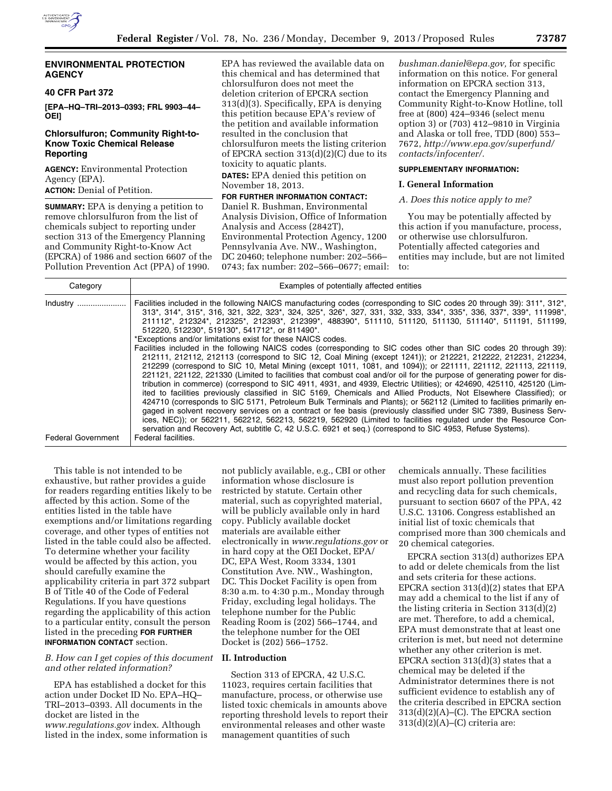

## **ENVIRONMENTAL PROTECTION AGENCY**

## **40 CFR Part 372**

**[EPA–HQ–TRI–2013–0393; FRL 9903–44– OEI]** 

## **Chlorsulfuron; Community Right-to-Know Toxic Chemical Release Reporting**

**AGENCY:** Environmental Protection Agency (EPA).

**ACTION:** Denial of Petition.

**SUMMARY:** EPA is denying a petition to remove chlorsulfuron from the list of chemicals subject to reporting under section 313 of the Emergency Planning and Community Right-to-Know Act (EPCRA) of 1986 and section 6607 of the Pollution Prevention Act (PPA) of 1990.

EPA has reviewed the available data on this chemical and has determined that chlorsulfuron does not meet the deletion criterion of EPCRA section 313(d)(3). Specifically, EPA is denying this petition because EPA's review of the petition and available information resulted in the conclusion that chlorsulfuron meets the listing criterion of EPCRA section 313(d)(2)(C) due to its toxicity to aquatic plants.

**DATES:** EPA denied this petition on November 18, 2013.

# **FOR FURTHER INFORMATION CONTACT:**

Daniel R. Bushman, Environmental Analysis Division, Office of Information Analysis and Access (2842T), Environmental Protection Agency, 1200 Pennsylvania Ave. NW., Washington, DC 20460; telephone number: 202–566– 0743; fax number: 202–566–0677; email:

*[bushman.daniel@epa.gov,](mailto:bushman.daniel@epa.gov)* for specific information on this notice. For general information on EPCRA section 313, contact the Emergency Planning and Community Right-to-Know Hotline, toll free at (800) 424–9346 (select menu option 3) or (703) 412–9810 in Virginia and Alaska or toll free, TDD (800) 553– 7672, *[http://www.epa.gov/superfund/](http://www.epa.gov/superfund/contacts/infocenter/) [contacts/infocenter/.](http://www.epa.gov/superfund/contacts/infocenter/)* 

## **SUPPLEMENTARY INFORMATION:**

### **I. General Information**

### *A. Does this notice apply to me?*

You may be potentially affected by this action if you manufacture, process, or otherwise use chlorsulfuron. Potentially affected categories and entities may include, but are not limited to:

| Category                  | Examples of potentially affected entities                                                                                                                                                                                                                                                                                                                                                                                                                                                                                                                                                                                                                                                                                                                                                                                                                                                                                                                                                                                                                                                                                                                                                                                                                                                                                                                                                                                                             |  |  |
|---------------------------|-------------------------------------------------------------------------------------------------------------------------------------------------------------------------------------------------------------------------------------------------------------------------------------------------------------------------------------------------------------------------------------------------------------------------------------------------------------------------------------------------------------------------------------------------------------------------------------------------------------------------------------------------------------------------------------------------------------------------------------------------------------------------------------------------------------------------------------------------------------------------------------------------------------------------------------------------------------------------------------------------------------------------------------------------------------------------------------------------------------------------------------------------------------------------------------------------------------------------------------------------------------------------------------------------------------------------------------------------------------------------------------------------------------------------------------------------------|--|--|
| Industry                  | Facilities included in the following NAICS manufacturing codes (corresponding to SIC codes 20 through 39): 311*, 312*,<br>313*, 314*, 315*, 316, 321, 322, 323*, 324, 325*, 326*, 327, 331, 332, 333, 334*, 335*, 336, 337*, 339*, 111998*,<br>211112*, 212324*, 212325*, 212393*, 212399*, 488390*, 511110, 511120, 511130, 511140*, 511191, 511199,<br>512220, 512230*, 519130*, 541712*, or 811490*.<br>*Exceptions and/or limitations exist for these NAICS codes.<br>Facilities included in the following NAICS codes (corresponding to SIC codes other than SIC codes 20 through 39):<br>212111, 212112, 212113 (correspond to SIC 12, Coal Mining (except 1241)); or 212221, 212222, 212231, 212234,<br>212299 (correspond to SIC 10, Metal Mining (except 1011, 1081, and 1094)); or 221111, 221112, 221113, 221119,<br>221121, 221122, 221330 (Limited to facilities that combust coal and/or oil for the purpose of generating power for dis-<br>tribution in commerce) (correspond to SIC 4911, 4931, and 4939, Electric Utilities); or 424690, 425110, 425120 (Lim-<br>ited to facilities previously classified in SIC 5169, Chemicals and Allied Products, Not Elsewhere Classified); or<br>424710 (corresponds to SIC 5171, Petroleum Bulk Terminals and Plants); or 562112 (Limited to facilities primarily en-<br>gaged in solvent recovery services on a contract or fee basis (previously classified under SIC 7389, Business Serv- |  |  |
|                           | ices, NEC)); or 562211, 562212, 562213, 562219, 562920 (Limited to facilities regulated under the Resource Con-<br>servation and Recovery Act, subtitle C, 42 U.S.C. 6921 et seq.) (correspond to SIC 4953, Refuse Systems).                                                                                                                                                                                                                                                                                                                                                                                                                                                                                                                                                                                                                                                                                                                                                                                                                                                                                                                                                                                                                                                                                                                                                                                                                          |  |  |
| <b>Federal Government</b> | Federal facilities.                                                                                                                                                                                                                                                                                                                                                                                                                                                                                                                                                                                                                                                                                                                                                                                                                                                                                                                                                                                                                                                                                                                                                                                                                                                                                                                                                                                                                                   |  |  |

This table is not intended to be exhaustive, but rather provides a guide for readers regarding entities likely to be affected by this action. Some of the entities listed in the table have exemptions and/or limitations regarding coverage, and other types of entities not listed in the table could also be affected. To determine whether your facility would be affected by this action, you should carefully examine the applicability criteria in part 372 subpart B of Title 40 of the Code of Federal Regulations. If you have questions regarding the applicability of this action to a particular entity, consult the person listed in the preceding **FOR FURTHER INFORMATION CONTACT** section.

## *B. How can I get copies of this document and other related information?*

EPA has established a docket for this action under Docket ID No. EPA–HQ– TRI–2013–0393. All documents in the docket are listed in the *[www.regulations.gov](http://www.regulations.gov)* index. Although listed in the index, some information is

not publicly available, e.g., CBI or other information whose disclosure is restricted by statute. Certain other material, such as copyrighted material, will be publicly available only in hard copy. Publicly available docket materials are available either electronically in *[www.regulations.gov](http://www.regulations.gov)* or in hard copy at the OEI Docket, EPA/ DC, EPA West, Room 3334, 1301 Constitution Ave. NW., Washington, DC. This Docket Facility is open from 8:30 a.m. to 4:30 p.m., Monday through Friday, excluding legal holidays. The telephone number for the Public Reading Room is (202) 566–1744, and the telephone number for the OEI Docket is (202) 566–1752.

## **II. Introduction**

Section 313 of EPCRA, 42 U.S.C. 11023, requires certain facilities that manufacture, process, or otherwise use listed toxic chemicals in amounts above reporting threshold levels to report their environmental releases and other waste management quantities of such

chemicals annually. These facilities must also report pollution prevention and recycling data for such chemicals, pursuant to section 6607 of the PPA, 42 U.S.C. 13106. Congress established an initial list of toxic chemicals that comprised more than 300 chemicals and 20 chemical categories.

EPCRA section 313(d) authorizes EPA to add or delete chemicals from the list and sets criteria for these actions. EPCRA section 313(d)(2) states that EPA may add a chemical to the list if any of the listing criteria in Section 313(d)(2) are met. Therefore, to add a chemical, EPA must demonstrate that at least one criterion is met, but need not determine whether any other criterion is met. EPCRA section 313(d)(3) states that a chemical may be deleted if the Administrator determines there is not sufficient evidence to establish any of the criteria described in EPCRA section  $313(d)(2)(A)$ –(C). The EPCRA section  $313(d)(2)(A)$ – $(C)$  criteria are: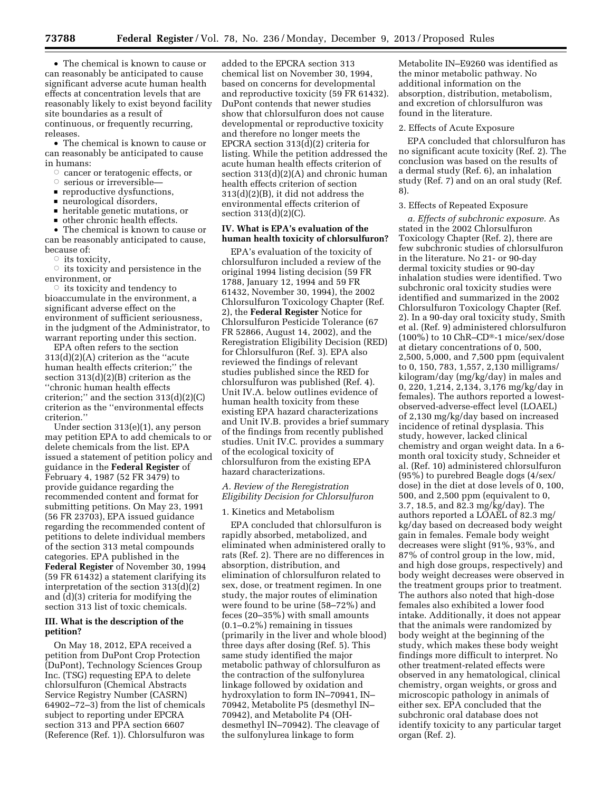• The chemical is known to cause or can reasonably be anticipated to cause significant adverse acute human health effects at concentration levels that are reasonably likely to exist beyond facility site boundaries as a result of continuous, or frequently recurring, releases.

• The chemical is known to cause or can reasonably be anticipated to cause in humans:

- $\circ$  cancer or teratogenic effects, or
- $\circ$  serious or irreversible—
- $\blacksquare$  reproductive dysfunctions,<br> $\blacksquare$  neurological disorders
- neurological disorders,<br>■ heritable genetic mutat
- heritable genetic mutations, or
- other chronic health effects.

• The chemical is known to cause or can be reasonably anticipated to cause, because of:

 $\circ$  its toxicity,

 $\circ$  its toxicity and persistence in the environment, or

 $\circ$  its toxicity and tendency to bioaccumulate in the environment, a significant adverse effect on the environment of sufficient seriousness, in the judgment of the Administrator, to warrant reporting under this section.

EPA often refers to the section 313(d)(2)(A) criterion as the ''acute human health effects criterion;'' the section 313(d)(2)(B) criterion as the ''chronic human health effects criterion;'' and the section 313(d)(2)(C) criterion as the ''environmental effects criterion.''

Under section 313(e)(1), any person may petition EPA to add chemicals to or delete chemicals from the list. EPA issued a statement of petition policy and guidance in the **Federal Register** of February 4, 1987 (52 FR 3479) to provide guidance regarding the recommended content and format for submitting petitions. On May 23, 1991 (56 FR 23703), EPA issued guidance regarding the recommended content of petitions to delete individual members of the section 313 metal compounds categories. EPA published in the **Federal Register** of November 30, 1994 (59 FR 61432) a statement clarifying its interpretation of the section 313(d)(2) and (d)(3) criteria for modifying the section 313 list of toxic chemicals.

### **III. What is the description of the petition?**

On May 18, 2012, EPA received a petition from DuPont Crop Protection (DuPont), Technology Sciences Group Inc. (TSG) requesting EPA to delete chlorsulfuron (Chemical Abstracts Service Registry Number (CASRN) 64902–72–3) from the list of chemicals subject to reporting under EPCRA section 313 and PPA section 6607 (Reference (Ref. 1)). Chlorsulfuron was

added to the EPCRA section 313 chemical list on November 30, 1994, based on concerns for developmental and reproductive toxicity (59 FR 61432). DuPont contends that newer studies show that chlorsulfuron does not cause developmental or reproductive toxicity and therefore no longer meets the EPCRA section 313(d)(2) criteria for listing. While the petition addressed the acute human health effects criterion of section 313(d)(2)(A) and chronic human health effects criterion of section 313(d)(2)(B), it did not address the environmental effects criterion of section 313(d)(2)(C).

## **IV. What is EPA's evaluation of the human health toxicity of chlorsulfuron?**

EPA's evaluation of the toxicity of chlorsulfuron included a review of the original 1994 listing decision (59 FR 1788, January 12, 1994 and 59 FR 61432, November 30, 1994), the 2002 Chlorsulfuron Toxicology Chapter (Ref. 2), the **Federal Register** Notice for Chlorsulfuron Pesticide Tolerance (67 FR 52866, August 14, 2002), and the Reregistration Eligibility Decision (RED) for Chlorsulfuron (Ref. 3). EPA also reviewed the findings of relevant studies published since the RED for chlorsulfuron was published (Ref. 4). Unit IV.A. below outlines evidence of human health toxicity from these existing EPA hazard characterizations and Unit IV.B. provides a brief summary of the findings from recently published studies. Unit IV.C. provides a summary of the ecological toxicity of chlorsulfuron from the existing EPA hazard characterizations.

## *A. Review of the Reregistration Eligibility Decision for Chlorsulfuron*

### 1. Kinetics and Metabolism

EPA concluded that chlorsulfuron is rapidly absorbed, metabolized, and eliminated when administered orally to rats (Ref. 2). There are no differences in absorption, distribution, and elimination of chlorsulfuron related to sex, dose, or treatment regimen. In one study, the major routes of elimination were found to be urine (58–72%) and feces (20–35%) with small amounts (0.1–0.2%) remaining in tissues (primarily in the liver and whole blood) three days after dosing (Ref. 5). This same study identified the major metabolic pathway of chlorsulfuron as the contraction of the sulfonylurea linkage followed by oxidation and hydroxylation to form IN–70941, IN– 70942, Metabolite P5 (desmethyl IN– 70942), and Metabolite P4 (OHdesmethyl IN–70942). The cleavage of the sulfonylurea linkage to form

Metabolite IN–E9260 was identified as the minor metabolic pathway. No additional information on the absorption, distribution, metabolism, and excretion of chlorsulfuron was found in the literature.

#### 2. Effects of Acute Exposure

EPA concluded that chlorsulfuron has no significant acute toxicity (Ref. 2). The conclusion was based on the results of a dermal study (Ref. 6), an inhalation study (Ref. 7) and on an oral study (Ref. 8).

### 3. Effects of Repeated Exposure

*a. Effects of subchronic exposure.* As stated in the 2002 Chlorsulfuron Toxicology Chapter (Ref. 2), there are few subchronic studies of chlorsulfuron in the literature. No 21- or 90-day dermal toxicity studies or 90-day inhalation studies were identified. Two subchronic oral toxicity studies were identified and summarized in the 2002 Chlorsulfuron Toxicology Chapter (Ref. 2). In a 90-day oral toxicity study, Smith et al. (Ref. 9) administered chlorsulfuron (100%) to 10 ChR–CD®-1 mice/sex/dose at dietary concentrations of 0, 500, 2,500, 5,000, and 7,500 ppm (equivalent to 0, 150, 783, 1,557, 2,130 milligrams/ kilogram/day (mg/kg/day) in males and 0, 220, 1,214, 2,134, 3,176 mg/kg/day in females). The authors reported a lowestobserved-adverse-effect level (LOAEL) of 2,130 mg/kg/day based on increased incidence of retinal dysplasia. This study, however, lacked clinical chemistry and organ weight data. In a 6 month oral toxicity study, Schneider et al. (Ref. 10) administered chlorsulfuron (95%) to purebred Beagle dogs (4/sex/ dose) in the diet at dose levels of 0, 100, 500, and 2,500 ppm (equivalent to 0, 3.7, 18.5, and 82.3 mg/kg/day). The authors reported a LOAEL of 82.3 mg/ kg/day based on decreased body weight gain in females. Female body weight decreases were slight (91%, 93%, and 87% of control group in the low, mid, and high dose groups, respectively) and body weight decreases were observed in the treatment groups prior to treatment. The authors also noted that high-dose females also exhibited a lower food intake. Additionally, it does not appear that the animals were randomized by body weight at the beginning of the study, which makes these body weight findings more difficult to interpret. No other treatment-related effects were observed in any hematological, clinical chemistry, organ weights, or gross and microscopic pathology in animals of either sex. EPA concluded that the subchronic oral database does not identify toxicity to any particular target organ (Ref. 2).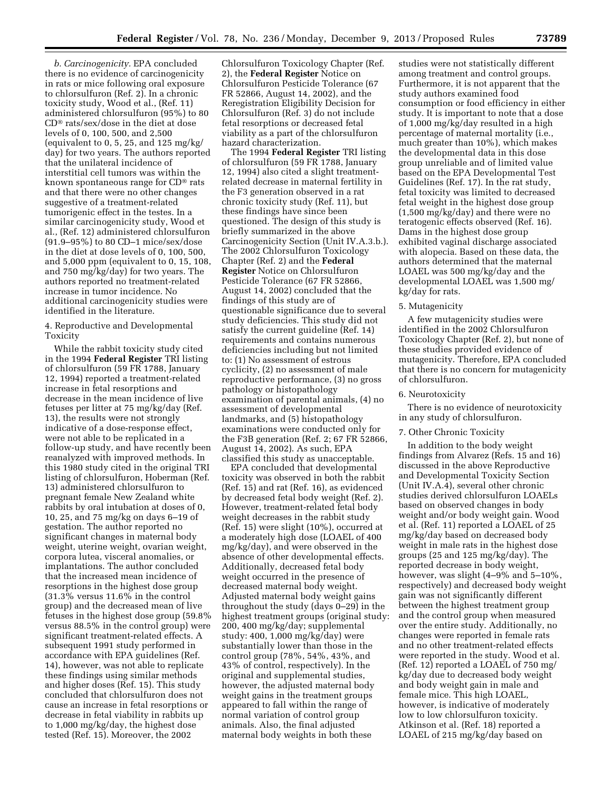*b. Carcinogenicity.* EPA concluded there is no evidence of carcinogenicity in rats or mice following oral exposure to chlorsulfuron (Ref. 2). In a chronic toxicity study, Wood et al., (Ref. 11) administered chlorsulfuron (95%) to 80 CD® rats/sex/dose in the diet at dose levels of 0, 100, 500, and 2,500 (equivalent to 0, 5, 25, and 125 mg/kg/ day) for two years. The authors reported that the unilateral incidence of interstitial cell tumors was within the known spontaneous range for CD® rats and that there were no other changes suggestive of a treatment-related tumorigenic effect in the testes. In a similar carcinogenicity study, Wood et al., (Ref. 12) administered chlorsulfuron (91.9–95%) to 80 CD–1 mice/sex/dose in the diet at dose levels of 0, 100, 500, and 5,000 ppm (equivalent to 0, 15, 108, and 750 mg/kg/day) for two years. The authors reported no treatment-related increase in tumor incidence. No additional carcinogenicity studies were identified in the literature.

### 4. Reproductive and Developmental Toxicity

While the rabbit toxicity study cited in the 1994 **Federal Register** TRI listing of chlorsulfuron (59 FR 1788, January 12, 1994) reported a treatment-related increase in fetal resorptions and decrease in the mean incidence of live fetuses per litter at 75 mg/kg/day (Ref. 13), the results were not strongly indicative of a dose-response effect, were not able to be replicated in a follow-up study, and have recently been reanalyzed with improved methods. In this 1980 study cited in the original TRI listing of chlorsulfuron, Hoberman (Ref. 13) administered chlorsulfuron to pregnant female New Zealand white rabbits by oral intubation at doses of 0, 10, 25, and 75 mg/kg on days 6–19 of gestation. The author reported no significant changes in maternal body weight, uterine weight, ovarian weight, corpora lutea, visceral anomalies, or implantations. The author concluded that the increased mean incidence of resorptions in the highest dose group (31.3% versus 11.6% in the control group) and the decreased mean of live fetuses in the highest dose group (59.8% versus 88.5% in the control group) were significant treatment-related effects. A subsequent 1991 study performed in accordance with EPA guidelines (Ref. 14), however, was not able to replicate these findings using similar methods and higher doses (Ref. 15). This study concluded that chlorsulfuron does not cause an increase in fetal resorptions or decrease in fetal viability in rabbits up to 1,000 mg/kg/day, the highest dose tested (Ref. 15). Moreover, the 2002

Chlorsulfuron Toxicology Chapter (Ref. 2), the **Federal Register** Notice on Chlorsulfuron Pesticide Tolerance (67 FR 52866, August 14, 2002), and the Reregistration Eligibility Decision for Chlorsulfuron (Ref. 3) do not include fetal resorptions or decreased fetal viability as a part of the chlorsulfuron hazard characterization.

The 1994 **Federal Register** TRI listing of chlorsulfuron (59 FR 1788, January 12, 1994) also cited a slight treatmentrelated decrease in maternal fertility in the F3 generation observed in a rat chronic toxicity study (Ref. 11), but these findings have since been questioned. The design of this study is briefly summarized in the above Carcinogenicity Section (Unit IV.A.3.b.). The 2002 Chlorsulfuron Toxicology Chapter (Ref. 2) and the **Federal Register** Notice on Chlorsulfuron Pesticide Tolerance (67 FR 52866, August 14, 2002) concluded that the findings of this study are of questionable significance due to several study deficiencies. This study did not satisfy the current guideline (Ref. 14) requirements and contains numerous deficiencies including but not limited to: (1) No assessment of estrous cyclicity, (2) no assessment of male reproductive performance, (3) no gross pathology or histopathology examination of parental animals, (4) no assessment of developmental landmarks, and (5) histopathology examinations were conducted only for the F3B generation (Ref. 2; 67 FR 52866, August 14, 2002). As such, EPA classified this study as unacceptable.

EPA concluded that developmental toxicity was observed in both the rabbit (Ref. 15) and rat (Ref. 16), as evidenced by decreased fetal body weight (Ref. 2). However, treatment-related fetal body weight decreases in the rabbit study (Ref. 15) were slight (10%), occurred at a moderately high dose (LOAEL of 400 mg/kg/day), and were observed in the absence of other developmental effects. Additionally, decreased fetal body weight occurred in the presence of decreased maternal body weight. Adjusted maternal body weight gains throughout the study (days 0–29) in the highest treatment groups (original study: 200, 400 mg/kg/day; supplemental study: 400, 1,000 mg/kg/day) were substantially lower than those in the control group (78%, 54%, 43%, and 43% of control, respectively). In the original and supplemental studies, however, the adjusted maternal body weight gains in the treatment groups appeared to fall within the range of normal variation of control group animals. Also, the final adjusted maternal body weights in both these

studies were not statistically different among treatment and control groups. Furthermore, it is not apparent that the study authors examined food consumption or food efficiency in either study. It is important to note that a dose of 1,000 mg/kg/day resulted in a high percentage of maternal mortality (i.e., much greater than 10%), which makes the developmental data in this dose group unreliable and of limited value based on the EPA Developmental Test Guidelines (Ref. 17). In the rat study, fetal toxicity was limited to decreased fetal weight in the highest dose group (1,500 mg/kg/day) and there were no teratogenic effects observed (Ref. 16). Dams in the highest dose group exhibited vaginal discharge associated with alopecia. Based on these data, the authors determined that the maternal LOAEL was 500 mg/kg/day and the developmental LOAEL was 1,500 mg/ kg/day for rats.

#### 5. Mutagenicity

A few mutagenicity studies were identified in the 2002 Chlorsulfuron Toxicology Chapter (Ref. 2), but none of these studies provided evidence of mutagenicity. Therefore, EPA concluded that there is no concern for mutagenicity of chlorsulfuron.

## 6. Neurotoxicity

There is no evidence of neurotoxicity in any study of chlorsulfuron.

#### 7. Other Chronic Toxicity

In addition to the body weight findings from Alvarez (Refs. 15 and 16) discussed in the above Reproductive and Developmental Toxicity Section (Unit IV.A.4), several other chronic studies derived chlorsulfuron LOAELs based on observed changes in body weight and/or body weight gain. Wood et al. (Ref. 11) reported a LOAEL of 25 mg/kg/day based on decreased body weight in male rats in the highest dose groups (25 and 125 mg/kg/day). The reported decrease in body weight, however, was slight (4–9% and 5–10%, respectively) and decreased body weight gain was not significantly different between the highest treatment group and the control group when measured over the entire study. Additionally, no changes were reported in female rats and no other treatment-related effects were reported in the study. Wood et al. (Ref. 12) reported a LOAEL of 750 mg/ kg/day due to decreased body weight and body weight gain in male and female mice. This high LOAEL, however, is indicative of moderately low to low chlorsulfuron toxicity. Atkinson et al. (Ref. 18) reported a LOAEL of 215 mg/kg/day based on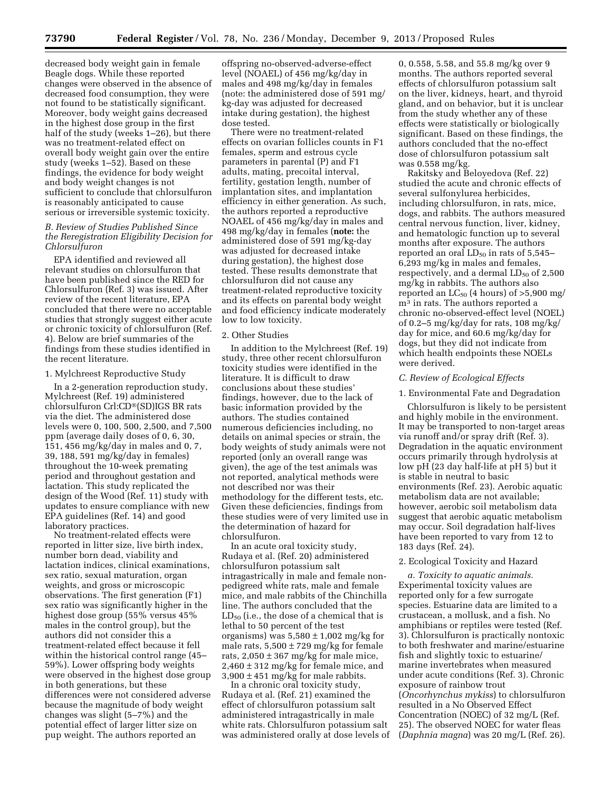decreased body weight gain in female Beagle dogs. While these reported changes were observed in the absence of decreased food consumption, they were not found to be statistically significant. Moreover, body weight gains decreased in the highest dose group in the first half of the study (weeks 1–26), but there was no treatment-related effect on overall body weight gain over the entire study (weeks 1–52). Based on these findings, the evidence for body weight and body weight changes is not sufficient to conclude that chlorsulfuron is reasonably anticipated to cause serious or irreversible systemic toxicity.

### *B. Review of Studies Published Since the Reregistration Eligibility Decision for Chlorsulfuron*

EPA identified and reviewed all relevant studies on chlorsulfuron that have been published since the RED for Chlorsulfuron (Ref. 3) was issued. After review of the recent literature, EPA concluded that there were no acceptable studies that strongly suggest either acute or chronic toxicity of chlorsulfuron (Ref. 4). Below are brief summaries of the findings from these studies identified in the recent literature.

#### 1. Mylchreest Reproductive Study

In a 2-generation reproduction study, Mylchreest (Ref. 19) administered chlorsulfuron Crl:CD®(SD)IGS BR rats via the diet. The administered dose levels were 0, 100, 500, 2,500, and 7,500 ppm (average daily doses of 0, 6, 30, 151, 456 mg/kg/day in males and 0, 7, 39, 188, 591 mg/kg/day in females) throughout the 10-week premating period and throughout gestation and lactation. This study replicated the design of the Wood (Ref. 11) study with updates to ensure compliance with new EPA guidelines (Ref. 14) and good laboratory practices.

No treatment-related effects were reported in litter size, live birth index, number born dead, viability and lactation indices, clinical examinations, sex ratio, sexual maturation, organ weights, and gross or microscopic observations. The first generation (F1) sex ratio was significantly higher in the highest dose group (55% versus 45% males in the control group), but the authors did not consider this a treatment-related effect because it fell within the historical control range (45– 59%). Lower offspring body weights were observed in the highest dose group in both generations, but these differences were not considered adverse because the magnitude of body weight changes was slight (5–7%) and the potential effect of larger litter size on pup weight. The authors reported an

offspring no-observed-adverse-effect level (NOAEL) of 456 mg/kg/day in males and 498 mg/kg/day in females (note: the administered dose of 591 mg/ kg-day was adjusted for decreased intake during gestation), the highest dose tested.

There were no treatment-related effects on ovarian follicles counts in F1 females, sperm and estrous cycle parameters in parental (P) and F1 adults, mating, precoital interval, fertility, gestation length, number of implantation sites, and implantation efficiency in either generation. As such, the authors reported a reproductive NOAEL of 456 mg/kg/day in males and 498 mg/kg/day in females (**note:** the administered dose of 591 mg/kg-day was adjusted for decreased intake during gestation), the highest dose tested. These results demonstrate that chlorsulfuron did not cause any treatment-related reproductive toxicity and its effects on parental body weight and food efficiency indicate moderately low to low toxicity.

#### 2. Other Studies

In addition to the Mylchreest (Ref. 19) study, three other recent chlorsulfuron toxicity studies were identified in the literature. It is difficult to draw conclusions about these studies' findings, however, due to the lack of basic information provided by the authors. The studies contained numerous deficiencies including, no details on animal species or strain, the body weights of study animals were not reported (only an overall range was given), the age of the test animals was not reported, analytical methods were not described nor was their methodology for the different tests, etc. Given these deficiencies, findings from these studies were of very limited use in the determination of hazard for chlorsulfuron.

In an acute oral toxicity study, Rudaya et al. (Ref. 20) administered chlorsulfuron potassium salt intragastrically in male and female nonpedigreed white rats, male and female mice, and male rabbits of the Chinchilla line. The authors concluded that the  $LD_{50}$  (i.e., the dose of a chemical that is lethal to 50 percent of the test organisms) was  $5,580 \pm 1,002$  mg/kg for male rats,  $5,500 \pm 729$  mg/kg for female rats,  $2,050 \pm 367$  mg/kg for male mice,  $2,460 \pm 312$  mg/kg for female mice, and  $3,900 \pm 451$  mg/kg for male rabbits.

In a chronic oral toxicity study, Rudaya et al. (Ref. 21) examined the effect of chlorsulfuron potassium salt administered intragastrically in male white rats. Chlorsulfuron potassium salt was administered orally at dose levels of 0, 0.558, 5.58, and 55.8 mg/kg over 9 months. The authors reported several effects of chlorsulfuron potassium salt on the liver, kidneys, heart, and thyroid gland, and on behavior, but it is unclear from the study whether any of these effects were statistically or biologically significant. Based on these findings, the authors concluded that the no-effect dose of chlorsulfuron potassium salt was 0.558 mg/kg.

Rakitsky and Beloyedova (Ref. 22) studied the acute and chronic effects of several sulfonylurea herbicides, including chlorsulfuron, in rats, mice, dogs, and rabbits. The authors measured central nervous function, liver, kidney, and hematologic function up to several months after exposure. The authors reported an oral  $LD_{50}$  in rats of 5,545– 6,293 mg/kg in males and females, respectively, and a dermal  $LD_{50}$  of 2,500 mg/kg in rabbits. The authors also reported an  $LC_{50}$  (4 hours) of  $>5,900$  mg/ m3 in rats. The authors reported a chronic no-observed-effect level (NOEL) of 0.2–5 mg/kg/day for rats, 108 mg/kg/ day for mice, and 60.6 mg/kg/day for dogs, but they did not indicate from which health endpoints these NOELs were derived.

#### *C. Review of Ecological Effects*

## 1. Environmental Fate and Degradation

Chlorsulfuron is likely to be persistent and highly mobile in the environment. It may be transported to non-target areas via runoff and/or spray drift (Ref. 3). Degradation in the aquatic environment occurs primarily through hydrolysis at low pH (23 day half-life at pH 5) but it is stable in neutral to basic environments (Ref. 23). Aerobic aquatic metabolism data are not available; however, aerobic soil metabolism data suggest that aerobic aquatic metabolism may occur. Soil degradation half-lives have been reported to vary from 12 to 183 days (Ref. 24).

#### 2. Ecological Toxicity and Hazard

*a. Toxicity to aquatic animals.*  Experimental toxicity values are reported only for a few surrogate species. Estuarine data are limited to a crustacean, a mollusk, and a fish. No amphibians or reptiles were tested (Ref. 3). Chlorsulfuron is practically nontoxic to both freshwater and marine/estuarine fish and slightly toxic to estuarine/ marine invertebrates when measured under acute conditions (Ref. 3). Chronic exposure of rainbow trout (*Oncorhynchus mykiss*) to chlorsulfuron resulted in a No Observed Effect Concentration (NOEC) of 32 mg/L (Ref. 25). The observed NOEC for water fleas (*Daphnia magna*) was 20 mg/L (Ref. 26).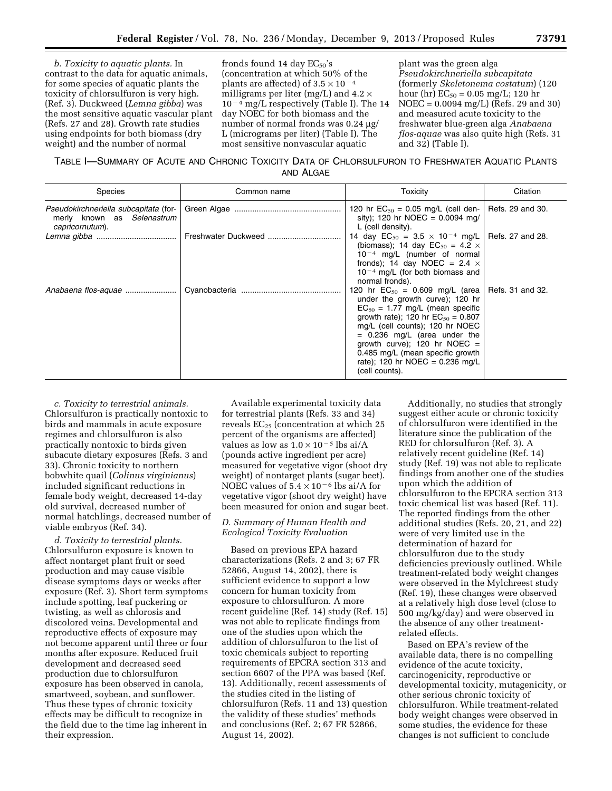*b. Toxicity to aquatic plants.* In contrast to the data for aquatic animals, for some species of aquatic plants the toxicity of chlorsulfuron is very high. (Ref. 3). Duckweed (*Lemna gibba*) was the most sensitive aquatic vascular plant (Refs. 27 and 28). Growth rate studies using endpoints for both biomass (dry weight) and the number of normal

fronds found 14 day  $EC_{50}$ 's (concentration at which 50% of the plants are affected) of  $3.5 \times 10^{-4}$ milligrams per liter (mg/L) and  $4.2 \times$  $10^{-4}$  mg/L respectively (Table I). The 14 day NOEC for both biomass and the number of normal fronds was 0.24 µg/ L (micrograms per liter) (Table I). The most sensitive nonvascular aquatic

plant was the green alga *Pseudokirchneriella subcapitata*  (formerly *Skeletonema costatum*) (120 hour (hr)  $EC_{50} = 0.05$  mg/L; 120 hr NOEC = 0.0094 mg/L) (Refs. 29 and 30) and measured acute toxicity to the freshwater blue-green alga *Anabaena flos-aquae* was also quite high (Refs. 31 and 32) (Table I).

TABLE I—SUMMARY OF ACUTE AND CHRONIC TOXICITY DATA OF CHLORSULFURON TO FRESHWATER AQUATIC PLANTS AND ALGAE

| <b>Species</b>                                                                         | Common name         | Toxicity                                                                                                                                                                                                                                                                                                                                                                    | Citation         |
|----------------------------------------------------------------------------------------|---------------------|-----------------------------------------------------------------------------------------------------------------------------------------------------------------------------------------------------------------------------------------------------------------------------------------------------------------------------------------------------------------------------|------------------|
| Pseudokirchneriella subcapitata (for-<br>merly known as Selenastrum<br>capricornutum). |                     | 120 hr $EC_{50} = 0.05$ mg/L (cell den-<br>sity); 120 hr NOEC = $0.0094$ mg/<br>L (cell density).                                                                                                                                                                                                                                                                           | Refs. 29 and 30. |
|                                                                                        | Freshwater Duckweed | 14 day $EC_{50} = 3.5 \times 10^{-4}$ mg/L   Refs. 27 and 28.<br>(biomass); 14 day $EC_{50} = 4.2 \times$<br>$10^{-4}$ mg/L (number of normal<br>fronds); 14 day NOEC = 2.4 $\times$<br>$10^{-4}$ mg/L (for both biomass and<br>normal fronds).                                                                                                                             |                  |
| Anabaena flos-aquae                                                                    |                     | 120 hr $EC_{50} = 0.609$ mg/L (area   Refs. 31 and 32.<br>under the growth curve); 120 hr<br>$EC_{50} = 1.77$ mg/L (mean specific<br>growth rate); 120 hr $EC_{50} = 0.807$<br>mg/L (cell counts); 120 hr NOEC<br>$= 0.236$ mg/L (area under the<br>growth curve); 120 hr NOEC =<br>0.485 mg/L (mean specific growth<br>rate); 120 hr NOEC = $0.236$ mg/L<br>(cell counts). |                  |

*c. Toxicity to terrestrial animals.*  Chlorsulfuron is practically nontoxic to birds and mammals in acute exposure regimes and chlorsulfuron is also practically nontoxic to birds given subacute dietary exposures (Refs. 3 and 33). Chronic toxicity to northern bobwhite quail (*Colinus virginianus*) included significant reductions in female body weight, decreased 14-day old survival, decreased number of normal hatchlings, decreased number of viable embryos (Ref. 34).

*d. Toxicity to terrestrial plants.*  Chlorsulfuron exposure is known to affect nontarget plant fruit or seed production and may cause visible disease symptoms days or weeks after exposure (Ref. 3). Short term symptoms include spotting, leaf puckering or twisting, as well as chlorosis and discolored veins. Developmental and reproductive effects of exposure may not become apparent until three or four months after exposure. Reduced fruit development and decreased seed production due to chlorsulfuron exposure has been observed in canola, smartweed, soybean, and sunflower. Thus these types of chronic toxicity effects may be difficult to recognize in the field due to the time lag inherent in their expression.

Available experimental toxicity data for terrestrial plants (Refs. 33 and 34) reveals  $EC_{25}$  (concentration at which 25 percent of the organisms are affected) values as low as  $1.0 \times 10^{-5}$  lbs ai/A (pounds active ingredient per acre) measured for vegetative vigor (shoot dry weight) of nontarget plants (sugar beet). NOEC values of  $5.4 \times 10^{-6}$  lbs ai/A for vegetative vigor (shoot dry weight) have been measured for onion and sugar beet.

## *D. Summary of Human Health and Ecological Toxicity Evaluation*

Based on previous EPA hazard characterizations (Refs. 2 and 3; 67 FR 52866, August 14, 2002), there is sufficient evidence to support a low concern for human toxicity from exposure to chlorsulfuron. A more recent guideline (Ref. 14) study (Ref. 15) was not able to replicate findings from one of the studies upon which the addition of chlorsulfuron to the list of toxic chemicals subject to reporting requirements of EPCRA section 313 and section 6607 of the PPA was based (Ref. 13). Additionally, recent assessments of the studies cited in the listing of chlorsulfuron (Refs. 11 and 13) question the validity of these studies' methods and conclusions (Ref. 2; 67 FR 52866, August 14, 2002).

Additionally, no studies that strongly suggest either acute or chronic toxicity of chlorsulfuron were identified in the literature since the publication of the RED for chlorsulfuron (Ref. 3). A relatively recent guideline (Ref. 14) study (Ref. 19) was not able to replicate findings from another one of the studies upon which the addition of chlorsulfuron to the EPCRA section 313 toxic chemical list was based (Ref. 11). The reported findings from the other additional studies (Refs. 20, 21, and 22) were of very limited use in the determination of hazard for chlorsulfuron due to the study deficiencies previously outlined. While treatment-related body weight changes were observed in the Mylchreest study (Ref. 19), these changes were observed at a relatively high dose level (close to 500 mg/kg/day) and were observed in the absence of any other treatmentrelated effects.

Based on EPA's review of the available data, there is no compelling evidence of the acute toxicity, carcinogenicity, reproductive or developmental toxicity, mutagenicity, or other serious chronic toxicity of chlorsulfuron. While treatment-related body weight changes were observed in some studies, the evidence for these changes is not sufficient to conclude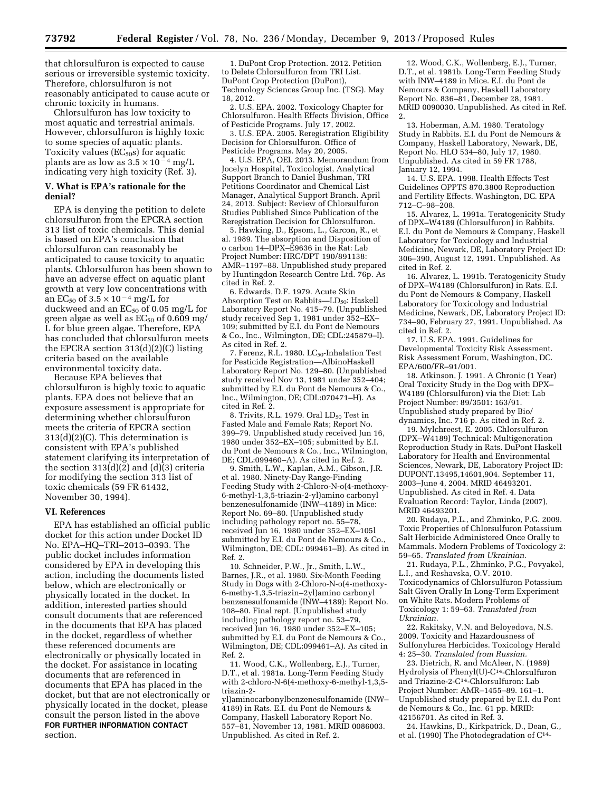that chlorsulfuron is expected to cause serious or irreversible systemic toxicity. Therefore, chlorsulfuron is not reasonably anticipated to cause acute or chronic toxicity in humans.

Chlorsulfuron has low toxicity to most aquatic and terrestrial animals. However, chlorsulfuron is highly toxic to some species of aquatic plants. Toxicity values  $(EC_{50}S)$  for aquatic plants are as low as  $3.5 \times 10^{-4}$  mg/L indicating very high toxicity (Ref. 3).

## **V. What is EPA's rationale for the denial?**

EPA is denying the petition to delete chlorsulfuron from the EPCRA section 313 list of toxic chemicals. This denial is based on EPA's conclusion that chlorsulfuron can reasonably be anticipated to cause toxicity to aquatic plants. Chlorsulfuron has been shown to have an adverse effect on aquatic plant growth at very low concentrations with an EC<sub>50</sub> of  $3.5 \times 10^{-4}$  mg/L for duckweed and an  $EC_{50}$  of 0.05 mg/L for green algae as well as  $EC_{50}$  of 0.609 mg/ L for blue green algae. Therefore, EPA has concluded that chlorsulfuron meets the EPCRA section 313(d)(2)(C) listing criteria based on the available environmental toxicity data.

Because EPA believes that chlorsulfuron is highly toxic to aquatic plants, EPA does not believe that an exposure assessment is appropriate for determining whether chlorsulfuron meets the criteria of EPCRA section 313(d)(2)(C). This determination is consistent with EPA's published statement clarifying its interpretation of the section  $313(d)(2)$  and  $(d)(3)$  criteria for modifying the section 313 list of toxic chemicals (59 FR 61432, November 30, 1994).

### **VI. References**

EPA has established an official public docket for this action under Docket ID No. EPA–HQ–TRI–2013–0393. The public docket includes information considered by EPA in developing this action, including the documents listed below, which are electronically or physically located in the docket. In addition, interested parties should consult documents that are referenced in the documents that EPA has placed in the docket, regardless of whether these referenced documents are electronically or physically located in the docket. For assistance in locating documents that are referenced in documents that EPA has placed in the docket, but that are not electronically or physically located in the docket, please consult the person listed in the above **FOR FURTHER INFORMATION CONTACT** section.

1. DuPont Crop Protection. 2012. Petition to Delete Chlorsulfuron from TRI List. DuPont Crop Protection (DuPont), Technology Sciences Group Inc. (TSG). May 18, 2012.

2. U.S. EPA. 2002. Toxicology Chapter for Chlorsulfuron. Health Effects Division, Office of Pesticide Programs. July 17, 2002.

3. U.S. EPA. 2005. Reregistration Eligibility Decision for Chlorsulfuron. Office of Pesticide Programs. May 20, 2005.

4. U.S. EPA, OEI. 2013. Memorandum from Jocelyn Hospital, Toxicologist, Analytical Support Branch to Daniel Bushman, TRI Petitions Coordinator and Chemical List Manager, Analytical Support Branch. April 24, 2013. Subject: Review of Chlorsulfuron Studies Published Since Publication of the Reregistration Decision for Chlorsulfuron.

5. Hawking, D., Epsom, L., Garcon, R., et al. 1989. The absorption and Disposition of o carbon 14–DPX–E9636 in the Rat: Lab Project Number: HRC/DPT 190/891138: AMR–1197–88. Unpublished study prepared by Huntingdon Research Centre Ltd. 76p. As cited in Ref. 2.

6. Edwards, D.F. 1979. Acute Skin Absorption Test on Rabbits—LD<sub>50</sub>: Haskell Laboratory Report No. 415–79. (Unpublished study received Sep 1, 1981 under 352–EX– 109; submitted by E.I. du Pont de Nemours & Co., Inc., Wilmington, DE; CDL:245879–I). As cited in Ref. 2.

7. Ferenz, R.L. 1980.  $LC_{50}$ -Inhalation Test for Pesticide Registration—AlbinoHaskell Laboratory Report No. 129–80. (Unpublished study received Nov 13, 1981 under 352–404; submitted by E.I. du Pont de Nemours & Co., Inc., Wilmington, DE; CDL:070471–H). As cited in Ref. 2.

8. Trivits, R.L. 1979. Oral  $LD_{50}$  Test in Fasted Male and Female Rats; Report No. 399–79. Unpublished study received Jun 16, 1980 under 352–EX–105; submitted by E.I. du Pont de Nemours & Co., Inc., Wilmington, DE; CDL:099460–A). As cited in Ref. 2.

9. Smith, L.W., Kaplan, A.M., Gibson, J.R. et al. 1980. Ninety-Day Range-Finding Feeding Study with 2-Chloro-N-o(4-methoxy-6-methyl-1,3,5-triazin-2-yl)amino carbonyl benzenesulfonamide (INW–4189) in Mice: Report No. 69–80. (Unpublished study including pathology report no. 55–78, received Jun 16, 1980 under 352–EX–105l submitted by E.I. du Pont de Nemours & Co., Wilmington, DE; CDL: 099461–B). As cited in Ref. 2.

10. Schneider, P.W., Jr., Smith, L.W., Barnes, J.R., et al. 1980. Six-Month Feeding Study in Dogs with 2-Chloro-N-o(4-methoxy-6-methy-1,3,5-triazin–2yl)amino carbonyl benzenesulfonamide (INW–4189): Report No. 108–80. Final rept. (Unpublished study including pathology report no. 53–79, received Jun 16, 1980 under 352–EX–105; submitted by E.I. du Pont de Nemours & Co., Wilmington, DE; CDL:099461–A). As cited in Ref. 2.

11. Wood, C.K., Wollenberg, E.J., Turner, D.T., et al. 1981a. Long-Term Feeding Study with 2-chloro-N-6(4-methoxy-6-methyl-1,3,5 triazin-2-

yl)aminocarbonylbenzenesulfonamide (INW– 4189) in Rats. E.I. du Pont de Nemours & Company, Haskell Laboratory Report No. 557–81, November 13, 1981. MRID 0086003. Unpublished. As cited in Ref. 2.

12. Wood, C.K., Wollenberg, E.J., Turner, D.T., et al. 1981b. Long-Term Feeding Study with INW–4189 in Mice. E.I. du Pont de Nemours & Company, Haskell Laboratory Report No. 836–81, December 28, 1981. MRID 0090030. Unpublished. As cited in Ref. 2.

13. Hoberman, A.M. 1980. Teratology Study in Rabbits. E.I. du Pont de Nemours & Company, Haskell Laboratory, Newark, DE, Report No. HLO 534–80, July 17, 1980. Unpublished. As cited in 59 FR 1788, January 12, 1994.

14. U.S. EPA. 1998. Health Effects Test Guidelines OPPTS 870.3800 Reproduction and Fertility Effects. Washington, DC. EPA 712–C–98–208.

15. Alvarez, L. 1991a. Teratogenicity Study of DPX–W4189 (Chlorsulfuron) in Rabbits. E.I. du Pont de Nemours & Company, Haskell Laboratory for Toxicology and Industrial Medicine, Newark, DE, Laboratory Project ID: 306–390, August 12, 1991. Unpublished. As cited in Ref. 2.

16. Alvarez, L. 1991b. Teratogenicity Study of DPX–W4189 (Chlorsulfuron) in Rats. E.I. du Pont de Nemours & Company, Haskell Laboratory for Toxicology and Industrial Medicine, Newark, DE, Laboratory Project ID: 734–90, February 27, 1991. Unpublished. As cited in Ref. 2.

17. U.S. EPA. 1991. Guidelines for Developmental Toxicity Risk Assessment. Risk Assessment Forum, Washington, DC. EPA/600/FR–91/001.

18. Atkinson, J. 1991. A Chronic (1 Year) Oral Toxicity Study in the Dog with DPX– W4189 (Chlorsulfuron) via the Diet: Lab Project Number: 89/3501: 163/91. Unpublished study prepared by Bio/ dynamics, Inc. 716 p. As cited in Ref. 2.

19. Mylchreest, E. 2005. Chlorsulfuron (DPX–W4189) Technical: Multigeneration Reproduction Study in Rats. DuPont Haskell Laboratory for Health and Environmental Sciences, Newark, DE, Laboratory Project ID: DUPONT.13495,14601,904. September 11, 2003–June 4, 2004. MRID 46493201. Unpublished. As cited in Ref. 4. Data Evaluation Record: Taylor, Linda (2007), MRID 46493201.

20. Rudaya, P.L., and Zhminko, P.G. 2009. Toxic Properties of Chlorsulfuron Potassium Salt Herbicide Administered Once Orally to Mammals. Modern Problems of Toxicology 2: 59–65. *Translated from Ukrainian.* 

21. Rudaya, P.L., Zhminko, P.G., Povyakel, L.I., and Reshavska, O.V. 2010. Toxicodynamics of Chlorsulfuron Potassium Salt Given Orally In Long-Term Experiment on White Rats. Modern Problems of Toxicology 1: 59–63. *Translated from Ukrainian.* 

22. Rakitsky, V.N. and Beloyedova, N.S. 2009. Toxicity and Hazardousness of Sulfonylurea Herbicides. Toxicology Herald 4: 25–30. *Translated from Russian.* 

23. Dietrich, R. and McAleer, N. (1989) Hydrolysis of Phenyl(U)-C14-Chlorsulfuron and Triazine-2-C14-Chlorsulfuron: Lab Project Number: AMR–1455–89. 161–1. Unpublished study prepared by E.I. du Pont de Nemours & Co., Inc. 61 pp. MRID: 42156701. As cited in Ref. 3.

24. Hawkins, D., Kirkpatrick, D., Dean, G., et al. (1990) The Photodegradation of C14